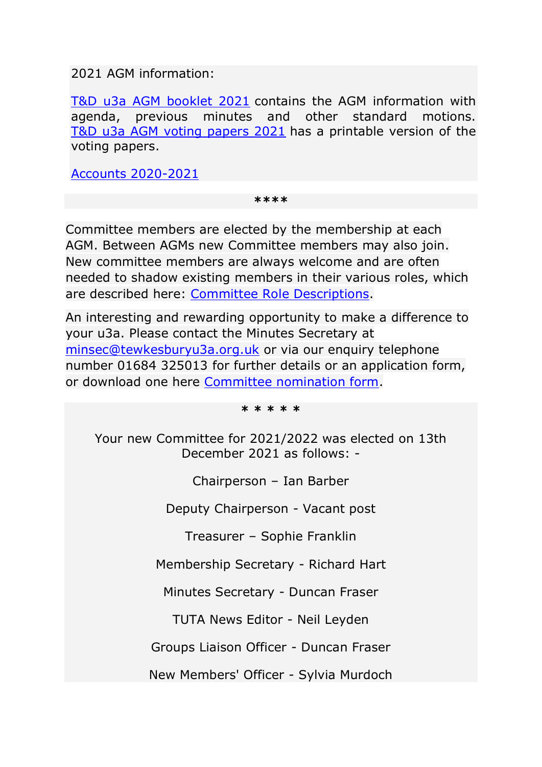2021 AGM information:

[T&D u3a AGM booklet 2021](https://u3asites.org.uk/files/t/tewkesbury/docs/2021agm-singlepage.pdf) contains the AGM information with agenda, previous minutes and other standard motions. [T&D u3a AGM voting papers 2021](https://u3asites.org.uk/files/t/tewkesbury/docs/2021agmvotingforms.pdf) has a printable version of the voting papers.

[Accounts 2020-2021](https://u3asites.org.uk/files/t/tewkesbury/docs/iris-charitiesreport-21.2reportfortewkesburydistrictu3a.pdf)

**\*\*\*\***

Committee members are elected by the membership at each AGM. Between AGMs new Committee members may also join. New committee members are always welcome and are often needed to shadow existing members in their various roles, which are described here: [Committee Role Descriptions.](https://u3asites.org.uk/files/t/tewkesbury/docs/tewxanddistrictu3ajobdescriptions2019.pdf)

An interesting and rewarding opportunity to make a difference to your u3a. Please contact the Minutes Secretary at [minsec@tewkesburyu3a.org.uk](mailto:minsec@tewkesburyu3a.org.uk) or via our enquiry telephone number 01684 325013 for further details or an application form, or download one here [Committee nomination form.](https://u3asites.org.uk/files/t/tewkesbury/docs/nominationforcommittteeandtrusteeeligibilitydec.pdf)

**\* \* \* \* \***

Your new Committee for 2021/2022 was elected on 13th December 2021 as follows: -

Chairperson – Ian Barber

Deputy Chairperson - Vacant post

Treasurer – Sophie Franklin

Membership Secretary - Richard Hart

Minutes Secretary - Duncan Fraser

TUTA News Editor - Neil Leyden

Groups Liaison Officer - Duncan Fraser

New Members' Officer - Sylvia Murdoch